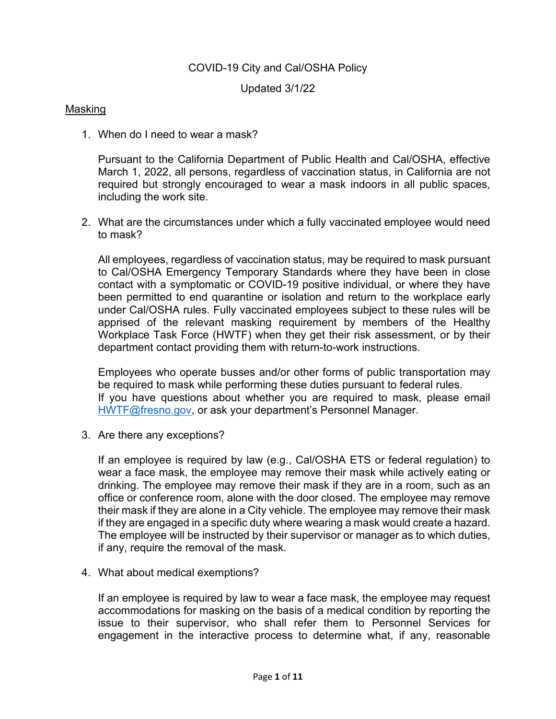# COVID-19 City and Cal/OSHA Policy

Updated 3/1/22

## Masking

1. When do I need to wear a mask?

Pursuant to the California Department of Public Health and Cal/OSHA, effective March 1, 2022, all persons, regardless of vaccination status, in California are not required but strongly encouraged to wear a mask indoors in all public spaces, including the work site.

2. What are the circumstances under which a fully vaccinated employee would need to mask?

All employees, regardless of vaccination status, may be required to mask pursuant to Cal/OSHA Emergency Temporary Standards where they have been in close contact with a symptomatic or COVID-19 positive individual, or where they have been permitted to end quarantine or isolation and return to the workplace early under Cal/OSHA rules. Fully vaccinated employees subject to these rules will be apprised of the relevant masking requirement by members of the Healthy Workplace Task Force (HWTF) when they get their risk assessment, or by their department contact providing them with return-to-work instructions.

Employees who operate busses and/or other forms of public transportation may be required to mask while performing these duties pursuant to federal rules. If you have questions about whether you are required to mask, please email [HWTF@fresno.gov,](mailto:HWTF@fresno.gov) or ask your department's Personnel Manager.

3. Are there any exceptions?

If an employee is required by law (e.g., Cal/OSHA ETS or federal regulation) to wear a face mask, the employee may remove their mask while actively eating or drinking. The employee may remove their mask if they are in a room, such as an office or conference room, alone with the door closed. The employee may remove their mask if they are alone in a City vehicle. The employee may remove their mask if they are engaged in a specific duty where wearing a mask would create a hazard. The employee will be instructed by their supervisor or manager as to which duties, if any, require the removal of the mask.

4. What about medical exemptions?

If an employee is required by law to wear a face mask, the employee may request accommodations for masking on the basis of a medical condition by reporting the issue to their supervisor, who shall refer them to Personnel Services for engagement in the interactive process to determine what, if any, reasonable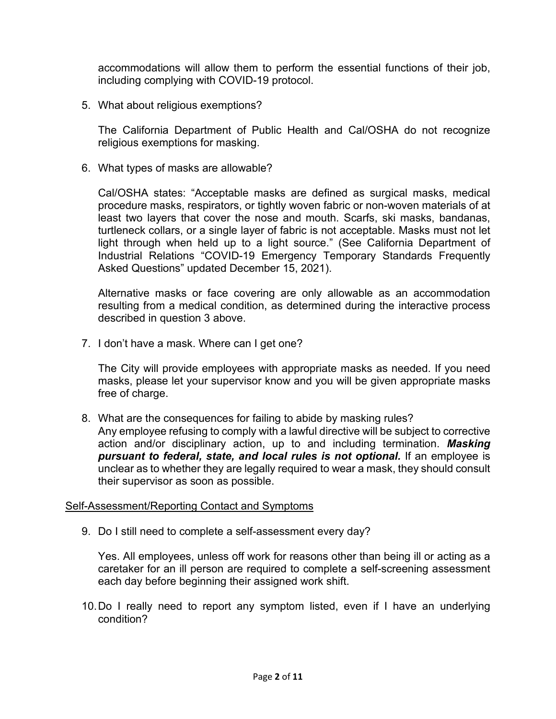accommodations will allow them to perform the essential functions of their job, including complying with COVID-19 protocol.

5. What about religious exemptions?

The California Department of Public Health and Cal/OSHA do not recognize religious exemptions for masking.

6. What types of masks are allowable?

Cal/OSHA states: "Acceptable masks are defined as surgical masks, medical procedure masks, respirators, or tightly woven fabric or non-woven materials of at least two layers that cover the nose and mouth. Scarfs, ski masks, bandanas, turtleneck collars, or a single layer of fabric is not acceptable. Masks must not let light through when held up to a light source." (See California Department of Industrial Relations "COVID-19 Emergency Temporary Standards Frequently Asked Questions" updated December 15, 2021).

Alternative masks or face covering are only allowable as an accommodation resulting from a medical condition, as determined during the interactive process described in question 3 above.

7. I don't have a mask. Where can I get one?

The City will provide employees with appropriate masks as needed. If you need masks, please let your supervisor know and you will be given appropriate masks free of charge.

8. What are the consequences for failing to abide by masking rules?

Any employee refusing to comply with a lawful directive will be subject to corrective action and/or disciplinary action, up to and including termination. *Masking pursuant to federal, state, and local rules is not optional.* If an employee is unclear as to whether they are legally required to wear a mask, they should consult their supervisor as soon as possible.

# Self-Assessment/Reporting Contact and Symptoms

9. Do I still need to complete a self-assessment every day?

Yes. All employees, unless off work for reasons other than being ill or acting as a caretaker for an ill person are required to complete a self-screening assessment each day before beginning their assigned work shift.

10.Do I really need to report any symptom listed, even if I have an underlying condition?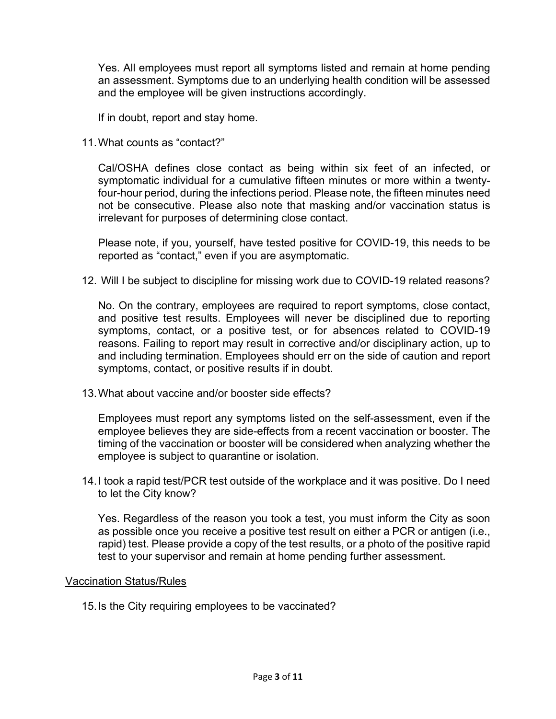Yes. All employees must report all symptoms listed and remain at home pending an assessment. Symptoms due to an underlying health condition will be assessed and the employee will be given instructions accordingly.

If in doubt, report and stay home.

11.What counts as "contact?"

Cal/OSHA defines close contact as being within six feet of an infected, or symptomatic individual for a cumulative fifteen minutes or more within a twentyfour-hour period, during the infections period. Please note, the fifteen minutes need not be consecutive. Please also note that masking and/or vaccination status is irrelevant for purposes of determining close contact.

Please note, if you, yourself, have tested positive for COVID-19, this needs to be reported as "contact," even if you are asymptomatic.

12. Will I be subject to discipline for missing work due to COVID-19 related reasons?

No. On the contrary, employees are required to report symptoms, close contact, and positive test results. Employees will never be disciplined due to reporting symptoms, contact, or a positive test, or for absences related to COVID-19 reasons. Failing to report may result in corrective and/or disciplinary action, up to and including termination. Employees should err on the side of caution and report symptoms, contact, or positive results if in doubt.

13.What about vaccine and/or booster side effects?

Employees must report any symptoms listed on the self-assessment, even if the employee believes they are side-effects from a recent vaccination or booster. The timing of the vaccination or booster will be considered when analyzing whether the employee is subject to quarantine or isolation.

14.I took a rapid test/PCR test outside of the workplace and it was positive. Do I need to let the City know?

Yes. Regardless of the reason you took a test, you must inform the City as soon as possible once you receive a positive test result on either a PCR or antigen (i.e., rapid) test. Please provide a copy of the test results, or a photo of the positive rapid test to your supervisor and remain at home pending further assessment.

### Vaccination Status/Rules

15.Is the City requiring employees to be vaccinated?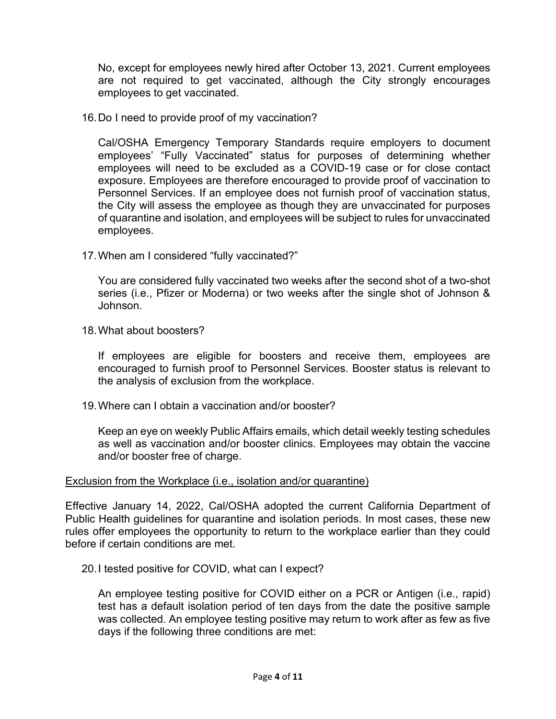No, except for employees newly hired after October 13, 2021. Current employees are not required to get vaccinated, although the City strongly encourages employees to get vaccinated.

16.Do I need to provide proof of my vaccination?

Cal/OSHA Emergency Temporary Standards require employers to document employees' "Fully Vaccinated" status for purposes of determining whether employees will need to be excluded as a COVID-19 case or for close contact exposure. Employees are therefore encouraged to provide proof of vaccination to Personnel Services. If an employee does not furnish proof of vaccination status, the City will assess the employee as though they are unvaccinated for purposes of quarantine and isolation, and employees will be subject to rules for unvaccinated employees.

17.When am I considered "fully vaccinated?"

You are considered fully vaccinated two weeks after the second shot of a two-shot series (i.e., Pfizer or Moderna) or two weeks after the single shot of Johnson & Johnson.

18.What about boosters?

If employees are eligible for boosters and receive them, employees are encouraged to furnish proof to Personnel Services. Booster status is relevant to the analysis of exclusion from the workplace.

19.Where can I obtain a vaccination and/or booster?

Keep an eye on weekly Public Affairs emails, which detail weekly testing schedules as well as vaccination and/or booster clinics. Employees may obtain the vaccine and/or booster free of charge.

### Exclusion from the Workplace (i.e., isolation and/or quarantine)

Effective January 14, 2022, Cal/OSHA adopted the current California Department of Public Health guidelines for quarantine and isolation periods. In most cases, these new rules offer employees the opportunity to return to the workplace earlier than they could before if certain conditions are met.

20.I tested positive for COVID, what can I expect?

An employee testing positive for COVID either on a PCR or Antigen (i.e., rapid) test has a default isolation period of ten days from the date the positive sample was collected. An employee testing positive may return to work after as few as five days if the following three conditions are met: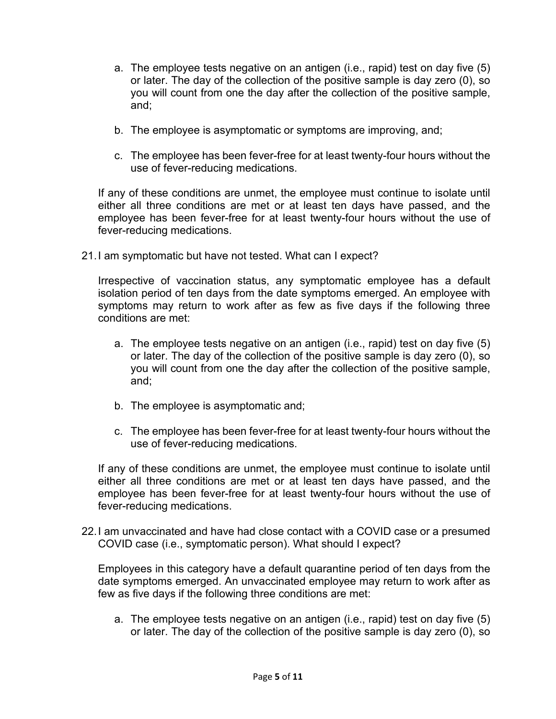- a. The employee tests negative on an antigen (i.e., rapid) test on day five (5) or later. The day of the collection of the positive sample is day zero (0), so you will count from one the day after the collection of the positive sample, and;
- b. The employee is asymptomatic or symptoms are improving, and;
- c. The employee has been fever-free for at least twenty-four hours without the use of fever-reducing medications.

If any of these conditions are unmet, the employee must continue to isolate until either all three conditions are met or at least ten days have passed, and the employee has been fever-free for at least twenty-four hours without the use of fever-reducing medications.

21.I am symptomatic but have not tested. What can I expect?

Irrespective of vaccination status, any symptomatic employee has a default isolation period of ten days from the date symptoms emerged. An employee with symptoms may return to work after as few as five days if the following three conditions are met:

- a. The employee tests negative on an antigen (i.e., rapid) test on day five (5) or later. The day of the collection of the positive sample is day zero (0), so you will count from one the day after the collection of the positive sample, and;
- b. The employee is asymptomatic and;
- c. The employee has been fever-free for at least twenty-four hours without the use of fever-reducing medications.

If any of these conditions are unmet, the employee must continue to isolate until either all three conditions are met or at least ten days have passed, and the employee has been fever-free for at least twenty-four hours without the use of fever-reducing medications.

22.I am unvaccinated and have had close contact with a COVID case or a presumed COVID case (i.e., symptomatic person). What should I expect?

Employees in this category have a default quarantine period of ten days from the date symptoms emerged. An unvaccinated employee may return to work after as few as five days if the following three conditions are met:

a. The employee tests negative on an antigen (i.e., rapid) test on day five (5) or later. The day of the collection of the positive sample is day zero (0), so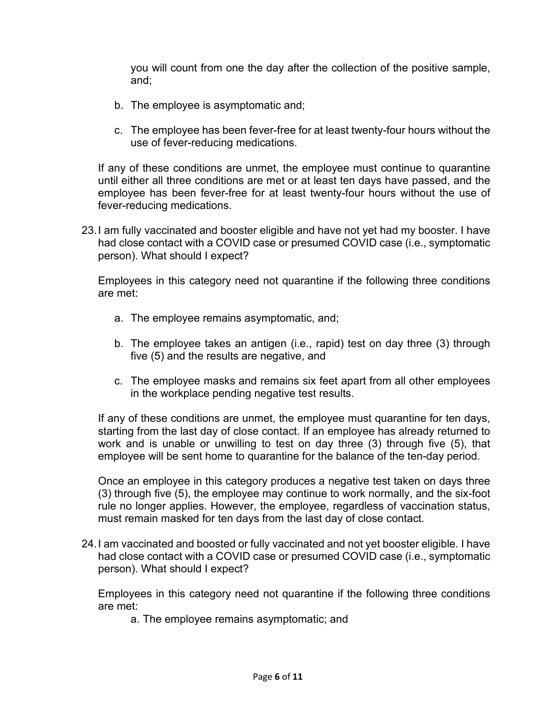you will count from one the day after the collection of the positive sample, and;

- b. The employee is asymptomatic and;
- c. The employee has been fever-free for at least twenty-four hours without the use of fever-reducing medications.

If any of these conditions are unmet, the employee must continue to quarantine until either all three conditions are met or at least ten days have passed, and the employee has been fever-free for at least twenty-four hours without the use of fever-reducing medications.

23.I am fully vaccinated and booster eligible and have not yet had my booster. I have had close contact with a COVID case or presumed COVID case (i.e., symptomatic person). What should I expect?

Employees in this category need not quarantine if the following three conditions are met:

- a. The employee remains asymptomatic, and;
- b. The employee takes an antigen (i.e., rapid) test on day three (3) through five (5) and the results are negative, and
- c. The employee masks and remains six feet apart from all other employees in the workplace pending negative test results.

If any of these conditions are unmet, the employee must quarantine for ten days, starting from the last day of close contact. If an employee has already returned to work and is unable or unwilling to test on day three (3) through five (5), that employee will be sent home to quarantine for the balance of the ten-day period.

Once an employee in this category produces a negative test taken on days three (3) through five (5), the employee may continue to work normally, and the six-foot rule no longer applies. However, the employee, regardless of vaccination status, must remain masked for ten days from the last day of close contact.

24.I am vaccinated and boosted or fully vaccinated and not yet booster eligible. I have had close contact with a COVID case or presumed COVID case (i.e., symptomatic person). What should I expect?

Employees in this category need not quarantine if the following three conditions are met:

a. The employee remains asymptomatic; and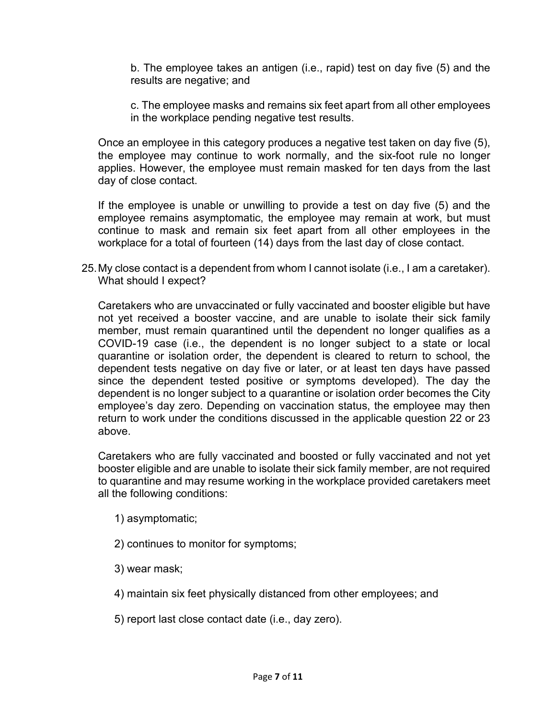b. The employee takes an antigen (i.e., rapid) test on day five (5) and the results are negative; and

c. The employee masks and remains six feet apart from all other employees in the workplace pending negative test results.

Once an employee in this category produces a negative test taken on day five (5), the employee may continue to work normally, and the six-foot rule no longer applies. However, the employee must remain masked for ten days from the last day of close contact.

If the employee is unable or unwilling to provide a test on day five (5) and the employee remains asymptomatic, the employee may remain at work, but must continue to mask and remain six feet apart from all other employees in the workplace for a total of fourteen (14) days from the last day of close contact.

25.My close contact is a dependent from whom I cannot isolate (i.e., I am a caretaker). What should I expect?

Caretakers who are unvaccinated or fully vaccinated and booster eligible but have not yet received a booster vaccine, and are unable to isolate their sick family member, must remain quarantined until the dependent no longer qualifies as a COVID-19 case (i.e., the dependent is no longer subject to a state or local quarantine or isolation order, the dependent is cleared to return to school, the dependent tests negative on day five or later, or at least ten days have passed since the dependent tested positive or symptoms developed). The day the dependent is no longer subject to a quarantine or isolation order becomes the City employee's day zero. Depending on vaccination status, the employee may then return to work under the conditions discussed in the applicable question 22 or 23 above.

Caretakers who are fully vaccinated and boosted or fully vaccinated and not yet booster eligible and are unable to isolate their sick family member, are not required to quarantine and may resume working in the workplace provided caretakers meet all the following conditions:

1) asymptomatic;

- 2) continues to monitor for symptoms;
- 3) wear mask;
- 4) maintain six feet physically distanced from other employees; and
- 5) report last close contact date (i.e., day zero).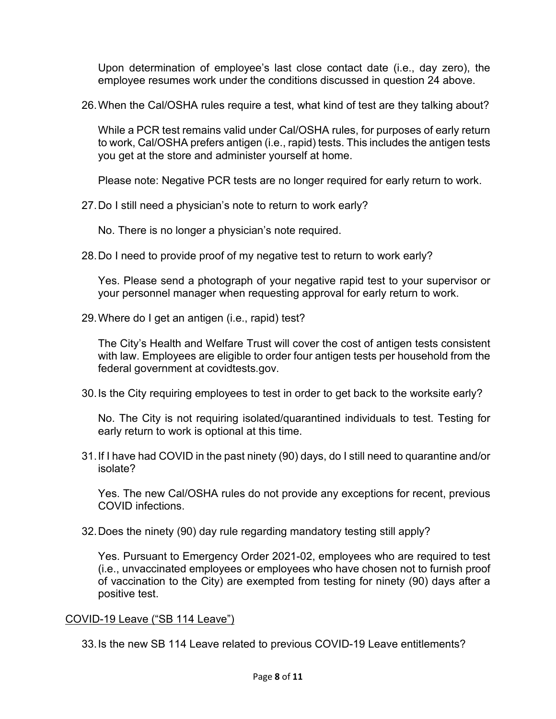Upon determination of employee's last close contact date (i.e., day zero), the employee resumes work under the conditions discussed in question 24 above.

26.When the Cal/OSHA rules require a test, what kind of test are they talking about?

While a PCR test remains valid under Cal/OSHA rules, for purposes of early return to work, Cal/OSHA prefers antigen (i.e., rapid) tests. This includes the antigen tests you get at the store and administer yourself at home.

Please note: Negative PCR tests are no longer required for early return to work.

27.Do I still need a physician's note to return to work early?

No. There is no longer a physician's note required.

28.Do I need to provide proof of my negative test to return to work early?

Yes. Please send a photograph of your negative rapid test to your supervisor or your personnel manager when requesting approval for early return to work.

29.Where do I get an antigen (i.e., rapid) test?

The City's Health and Welfare Trust will cover the cost of antigen tests consistent with law. Employees are eligible to order four antigen tests per household from the federal government at covidtests.gov.

30.Is the City requiring employees to test in order to get back to the worksite early?

No. The City is not requiring isolated/quarantined individuals to test. Testing for early return to work is optional at this time.

31.If I have had COVID in the past ninety (90) days, do I still need to quarantine and/or isolate?

Yes. The new Cal/OSHA rules do not provide any exceptions for recent, previous COVID infections.

32.Does the ninety (90) day rule regarding mandatory testing still apply?

Yes. Pursuant to Emergency Order 2021-02, employees who are required to test (i.e., unvaccinated employees or employees who have chosen not to furnish proof of vaccination to the City) are exempted from testing for ninety (90) days after a positive test.

# COVID-19 Leave ("SB 114 Leave")

33.Is the new SB 114 Leave related to previous COVID-19 Leave entitlements?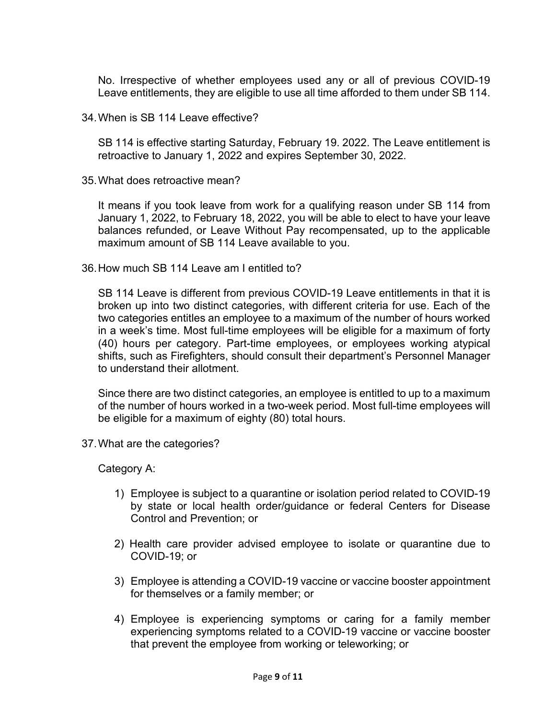No. Irrespective of whether employees used any or all of previous COVID-19 Leave entitlements, they are eligible to use all time afforded to them under SB 114.

34.When is SB 114 Leave effective?

SB 114 is effective starting Saturday, February 19. 2022. The Leave entitlement is retroactive to January 1, 2022 and expires September 30, 2022.

35.What does retroactive mean?

It means if you took leave from work for a qualifying reason under SB 114 from January 1, 2022, to February 18, 2022, you will be able to elect to have your leave balances refunded, or Leave Without Pay recompensated, up to the applicable maximum amount of SB 114 Leave available to you.

36.How much SB 114 Leave am I entitled to?

SB 114 Leave is different from previous COVID-19 Leave entitlements in that it is broken up into two distinct categories, with different criteria for use. Each of the two categories entitles an employee to a maximum of the number of hours worked in a week's time. Most full-time employees will be eligible for a maximum of forty (40) hours per category. Part-time employees, or employees working atypical shifts, such as Firefighters, should consult their department's Personnel Manager to understand their allotment.

Since there are two distinct categories, an employee is entitled to up to a maximum of the number of hours worked in a two-week period. Most full-time employees will be eligible for a maximum of eighty (80) total hours.

37.What are the categories?

Category A:

- 1) Employee is subject to a quarantine or isolation period related to COVID-19 by state or local health order/guidance or federal Centers for Disease Control and Prevention; or
- 2) Health care provider advised employee to isolate or quarantine due to COVID-19; or
- 3) Employee is attending a COVID-19 vaccine or vaccine booster appointment for themselves or a family member; or
- 4) Employee is experiencing symptoms or caring for a family member experiencing symptoms related to a COVID-19 vaccine or vaccine booster that prevent the employee from working or teleworking; or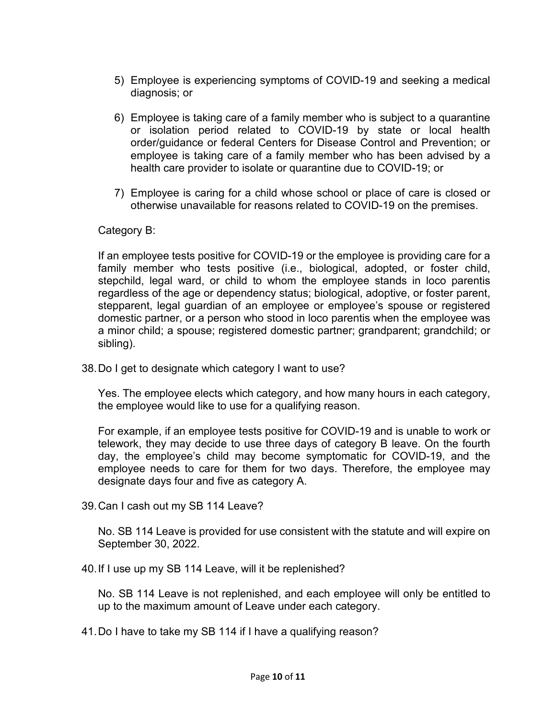- 5) Employee is experiencing symptoms of COVID-19 and seeking a medical diagnosis; or
- 6) Employee is taking care of a family member who is subject to a quarantine or isolation period related to COVID-19 by state or local health order/guidance or federal Centers for Disease Control and Prevention; or employee is taking care of a family member who has been advised by a health care provider to isolate or quarantine due to COVID-19; or
- 7) Employee is caring for a child whose school or place of care is closed or otherwise unavailable for reasons related to COVID-19 on the premises.

# Category B:

If an employee tests positive for COVID-19 or the employee is providing care for a family member who tests positive (i.e., biological, adopted, or foster child, stepchild, legal ward, or child to whom the employee stands in loco parentis regardless of the age or dependency status; biological, adoptive, or foster parent, stepparent, legal guardian of an employee or employee's spouse or registered domestic partner, or a person who stood in loco parentis when the employee was a minor child; a spouse; registered domestic partner; grandparent; grandchild; or sibling).

38.Do I get to designate which category I want to use?

Yes. The employee elects which category, and how many hours in each category, the employee would like to use for a qualifying reason.

For example, if an employee tests positive for COVID-19 and is unable to work or telework, they may decide to use three days of category B leave. On the fourth day, the employee's child may become symptomatic for COVID-19, and the employee needs to care for them for two days. Therefore, the employee may designate days four and five as category A.

39.Can I cash out my SB 114 Leave?

No. SB 114 Leave is provided for use consistent with the statute and will expire on September 30, 2022.

40.If I use up my SB 114 Leave, will it be replenished?

No. SB 114 Leave is not replenished, and each employee will only be entitled to up to the maximum amount of Leave under each category.

41.Do I have to take my SB 114 if I have a qualifying reason?